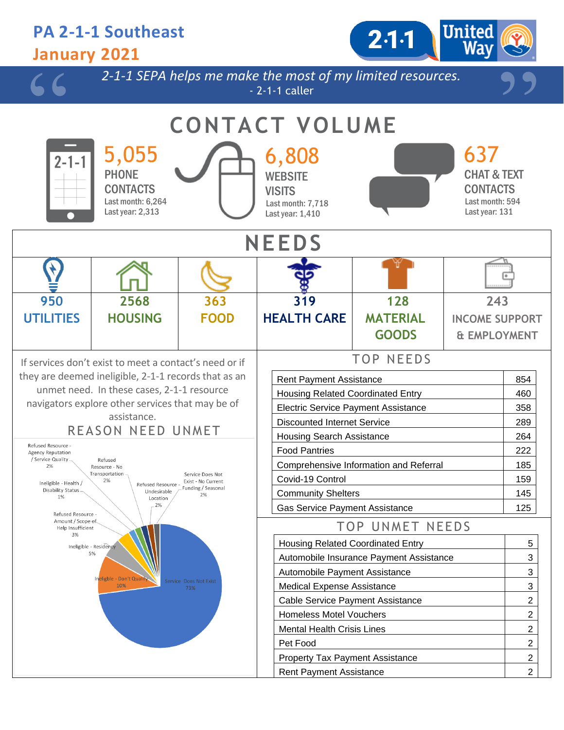## **PA 2-1-1 Southeast**  $2.1 - 1$ **January 2021** *2-1-1 SEPA helps me make the most of my limited resources.* - 2-1-1 caller **CONTACT VOLUME** 5,055 6,808 637 2-1-**PHONE** CHAT & TEXT **WEBSITE CONTACTS CONTACTS VISITS** Last month: 594 Last month: 6,264 Last month: 7,718 Last year: 2,313 Last year: 131 Last year: 1,410 **NEEDS 128 950 2568 363 319 243 UTILITIES HOUSING FOOD HEALTH CARE MATERIAL INCOME SUPPORT GOODS & EMPLOYMENT** TOP NEEDS If services don't exist to meet a contact's need or if they are deemed ineligible, 2-1-1 records that as an Rent Payment Assistance **854** 854 unmet need. In these cases, 2-1-1 resource Housing Related Coordinated Entry **1998** 460 navigators explore other services that may be of Electric Service Payment Assistance | 358 assistance. Discounted Internet Service **289** REASON NEED UNMET Housing Search Assistance 264 Refused Resource -Food Pantries 222 Agency Reputation / Service Quality Refused Comprehensive Information and Referral 185 2% Resource - No Transportation Service Does Not Covid-19 Control 159  $2%$ Exist - No Current Ineligible - Health / Refused Resource -Funding / Seasonal Disability Status Undesirable Community Shelters 145 2%  $1%$ Location 2% Gas Service Payment Assistance 125 Refused Resource Amount / Scope of TOP UNMET NEEDS Help Insufficient 3% Housing Related Coordinated Entry 5 Ineligible - Residency 5% Automobile Insurance Payment Assistance **3** 3 Automobile Payment Assistance **3** 23 ligble - Don't Qua  $10%$ Medical Expense Assistance **3** 3 Cable Service Payment Assistance **2** 2 Homeless Motel Vouchers 2 Mental Health Crisis Lines 2 Pet Food 2 Property Tax Payment Assistance **2** 2 Rent Payment Assistance 2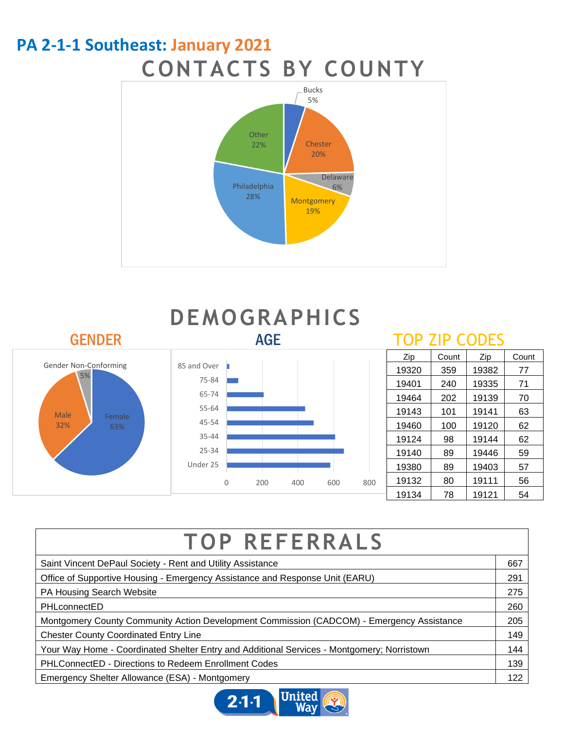## **PA 2-1-1 Southeast: January 2021 CONTACTS BY COUNTY**





| <b>TOP REFERRALS</b>                                                                       |     |
|--------------------------------------------------------------------------------------------|-----|
| Saint Vincent DePaul Society - Rent and Utility Assistance                                 | 667 |
| Office of Supportive Housing - Emergency Assistance and Response Unit (EARU)               | 291 |
| PA Housing Search Website                                                                  | 275 |
| PHLconnectED                                                                               | 260 |
| Montgomery County Community Action Development Commission (CADCOM) - Emergency Assistance  | 205 |
| <b>Chester County Coordinated Entry Line</b>                                               | 149 |
| Your Way Home - Coordinated Shelter Entry and Additional Services - Montgomery; Norristown | 144 |
| <b>PHLConnectED - Directions to Redeem Enrollment Codes</b>                                | 139 |
| Emergency Shelter Allowance (ESA) - Montgomery                                             | 122 |
|                                                                                            |     |